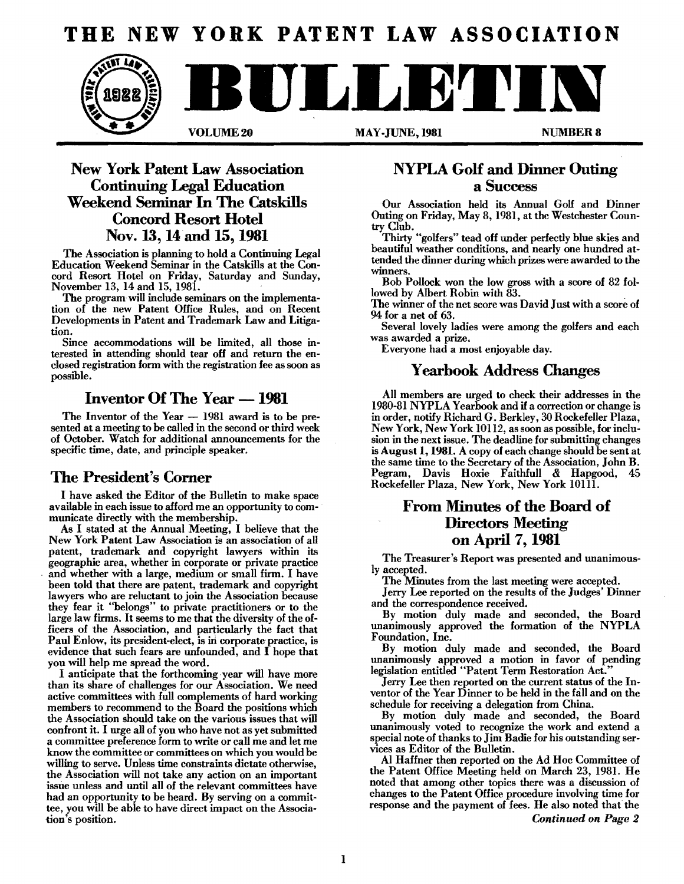# **THE NEW YORK PATENT LAW ASSOCIATION**



### New York Patent Law Association Continuing Legal Education Weekend Seminar In The Catskills Concord Resort Hotel Nov. 13,14 and 15,1981

The Association is planning to hold a Continuing Legal Education Weekend Seminar in the Catskills at the Concord Resort Hotel on Friday, Saturday and Sunday, November 13, 14 and 15, 1981.

The program will include seminars on the implementation of the new Patent Office Rules, and on Recent Developments in Patent and Trademark Law and Litigation.

Since accommodations will be limited, all those interested in attending should tear off and return the enclosed registration form with the registration fee as soon as possible.

### Inventor Of The Year — 1981

The Inventor of the Year  $-$  1981 award is to be presented at a meeting to be called in the second or third week of October. Watch for additional announcements for the specific time, date, and principle speaker.

### The President's Corner

I have asked the Editor of the Bulletin to make space available in each issue to afford me an opportunity to communicate directly with the membership.

As I stated at the Annual Meeting, I believe that the New York Patent Law Association is an association of all patent, trademark and copyright lawyers within its geographic area, whether in corporate or private practice and whether with a large, medium or small firm. I have been told that there are patent, trademark and copyright lawyers who are reluctant to join the Association because they fear it "belongs" to private practitioners or to the large law firms. Itseems to me that the diversity of the officers of the Association, and particularly the fact that Paul Enlow, its president-elect, is in corporate practice, is evidence that such fears are unfounded, and  $\overline{I}$  hope that you will help me spread the word.

I anticipate that the forthcoming year will have more than its share of challenges for our Association. We need active committees with full complements of hard working members to recommend to the Board the positions which the Association should take on the various issues that will confront it. I urge all of you who have not as yet submitted a committee preference form to write or call me and let me know the committee or committees on which you would be willing to serve. Unless time constraints dictate otherwise, the Association will not take any action on an important issue unless and until all of the relevant committees have had an opportunity to be heard. By serving on a committee, you will be able to have direct impact on the Association's position.

## NYPLA Golf and Dinner Outing a Success

Our Association held its Annual Golf and Dinner Outing on Friday, May 8, 1981, at the Westchester Country Club.

Thirty "golfers" tead off under perfectly blue skies and beautiful weather conditions, and nearly one hundred attended the dinner during which prizes were awarded to the winners.

Bob Pollock won the low gross with a score of 82 followed by Albert Robin with 83.

The winner of the net score was David Just with a score of 94 for a net of 63.

Several lovely ladies were among the golfers and each was awarded a prize.

Everyone had a most enjoyable day.

### Yearbook Address Changes

All members are urged to check their addresses in the 1980-81 NYPLA Yearbook and if a correction or change is in order, notify Richard G. Berkley, 30 Rockefeller Plaza, New York, New York 10112, as soon as possible, forinclusion in the next issue. The deadline for submitting changes is August 1, 1981. A copy of each change should be sent at the same time to the Secretary of the Association, John B. Pegram, Davis Hoxie Faithfull & Hapgood, Rockefeller Plaza, New York, New York 10111.

### From Minutes of the Board of Directors Meeting on April 7, 1981

The Treasurer's Report was presented and unanimous-Iy accepted.

The Minutes from the last meeting were accepted.

Jerry Lee reported on the results of the Judges' Dinner and the correspondence received.

By motion duly made and seconded, the Board unanimously approved the formation of the NYPLA Foundation, Inc.

By motion duly made and seconded, the Board unanimously approved a motion in favor of pending legislation entitled "Patent Term Restoration Act."

Jerry Lee then reported on the current status of the Inventor of the Year Dinner to be held in the fall and on the schedule for receiving a delegation from China.

By motion duly made and seconded, the Board unanimously voted to recognize the work and extend a special note of thanks to Jim Badie for his outstanding services as Editor of the Bulletin.

AI Haffner then reported on the Ad Hoc Committee of the Patent Office Meeting held on March 23, 1981. He noted that among other topics there was a discussion of changes to the Patent Office procedure involving time for response and the payment of fees. He also noted that the

*Continued on Page 2*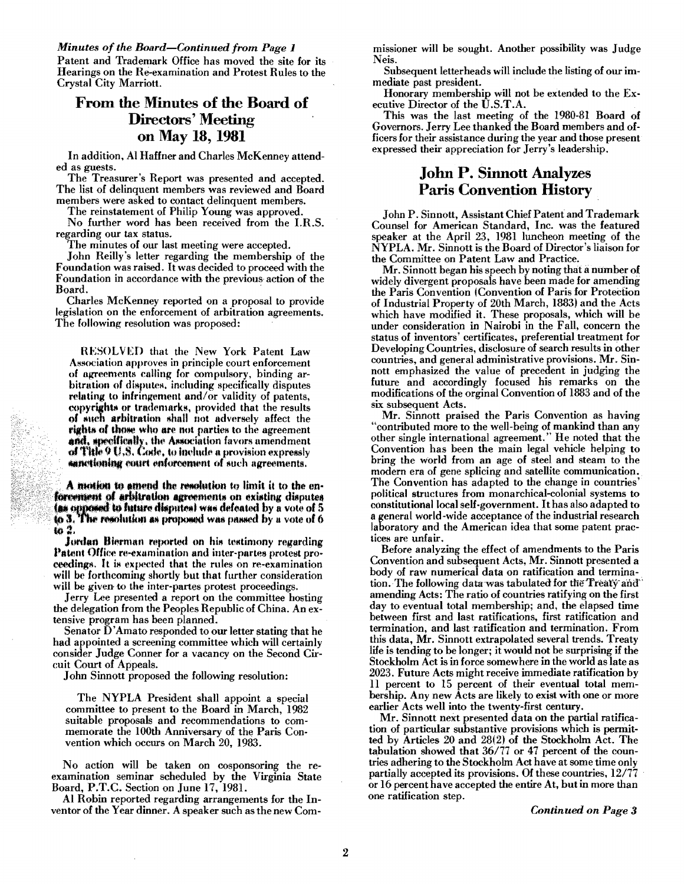**Minutes of the Board–Continued from Page 1** 

Patent and Trademark Office has moved the site for its Hearings on the Re-examination and Protest Rules to the Crystal City Marriott.

### From the Minutes of the Board of **Directors' Meeting** on May 18, 1981

In addition, Al Haffner and Charles McKenney attended as guests.

The Treasurer's Report was presented and accepted. The list of delinquent members was reviewed and Board members were asked to contact delinquent members.

The reinstatement of Philip Young was approved.

No further word has been received from the I.R.S. regarding our tax status.

The minutes of our last meeting were accepted.

John Reilly's letter regarding the membership of the Foundation was raised. It was decided to proceed with the Foundation in accordance with the previous action of the Board.

Charles McKenney reported on a proposal to provide legislation on the enforcement of arbitration agreements. The following resolution was proposed:

RESOLVED that the New York Patent Law Association approves in principle court enforcement of agreements calling for compulsory, binding arbitration of disputes, including specifically disputes relating to infringement and/or validity of patents, copyrights or trademarks, provided that the results of such arbitration shall not adversely affect the rights of those who are not parties to the agreement and, specifically, the Association favors amendment of This  $9 \text{ U.8}$ . Code, to include a provision expressly sanctioning court enforcement of such agreements.

A motion to amend the resolution to limit it to the enforcement of arbitration agreements on existing disputes (as opposed to future disputes) was defeated by a vote of 5<br>to 3. The resolution as proposed was passed by a vote of 6 to 2.

Jordan Bierman reported on his testimony regarding Patent Office re-examination and inter-partes protest proceedings. It is expected that the rules on re-examination will be forthcoming shortly but that further consideration will be given to the inter-partes protest proceedings.

Jerry Lee presented a report on the committee hosting the delegation from the Peoples Republic of China. An extensive program has been planned.

Senator D'Amato responded to our letter stating that he had appointed a screening committee which will certainly consider Judge Conner for a vacancy on the Second Circuit Court of Appeals.

John Sinnott proposed the following resolution:

The NYPLA President shall appoint a special committee to present to the Board in March, 1982 suitable proposals and recommendations to commemorate the 100th Anniversary of the Paris Convention which occurs on March 20, 1983.

No action will be taken on cosponsoring the reexamination seminar scheduled by the Virginia State Board, P.T.C. Section on June 17, 1981.

Al Robin reported regarding arrangements for the Inventor of the Year dinner. A speaker such as the new Commissioner will be sought. Another possibility was Judge Neis.

Subsequent letterheads will include the listing of our immediate past president.

Honorary membership will not be extended to the Executive Director of the U.S.T.A.

This was the last meeting of the 1980-81 Board of Governors. Jerry Lee thanked the Board members and officers for their assistance during the year and those present expressed their appreciation for Jerry's leadership.

### **John P. Sinnott Analyzes Paris Convention History**

John P. Sinnott, Assistant Chief Patent and Trademark Counsel for American Standard, Inc. was the featured speaker at the April 23, 1981 luncheon meeting of the NYPLA. Mr. Sinnott is the Board of Director's liaison for the Committee on Patent Law and Practice.

Mr. Sinnott began his speech by noting that a number of widely divergent proposals have been made for amending the Paris Convention (Convention of Paris for Protection of Industrial Property of 20th March, 1883) and the Acts which have modified it. These proposals, which will be under consideration in Nairobi in the Fall, concern the status of inventors' certificates, preferential treatment for Developing Countries, disclosure of search results in other countries, and general administrative provisions. Mr. Sinnott emphasized the value of precedent in judging the future and accordingly focused his remarks on the modifications of the orginal Convention of 1883 and of the six subsequent Acts.

Mr. Sinnott praised the Paris Convention as having "contributed more to the well-being of mankind than any other single international agreement." He noted that the Convention has been the main legal vehicle helping to bring the world from an age of steel and steam to the modern era of gene splicing and satellite communication. The Convention has adapted to the change in countries' political structures from monarchical-colonial systems to constitutional local self-government. It has also adapted to a general world-wide acceptance of the industrial research laboratory and the American idea that some patent practices are unfair.

Before analyzing the effect of amendments to the Paris Convention and subsequent Acts, Mr. Sinnott presented a body of raw numerical data on ratification and termination. The following data was tabulated for the Treaty and amending Acts: The ratio of countries ratifying on the first day to eventual total membership; and, the elapsed time between first and last ratifications, first ratification and termination, and last ratification and termination. From this data, Mr. Sinnott extrapolated several trends. Treaty life is tending to be longer; it would not be surprising if the Stockholm Act is in force somewhere in the world as late as 2023. Future Acts might receive immediate ratification by 11 percent to 15 percent of their eventual total membership. Any new Acts are likely to exist with one or more earlier Acts well into the twenty-first century.

Mr. Sinnott next presented data on the partial ratification of particular substantive provisions which is permitted by Articles 20 and 28(2) of the Stockholm Act. The tabulation showed that 36/77 or 47 percent of the countries adhering to the Stockholm Act have at some time only partially accepted its provisions. Of these countries, 12/77 or 16 percent have accepted the entire At, but in more than one ratification step.

**Continued on Page 3**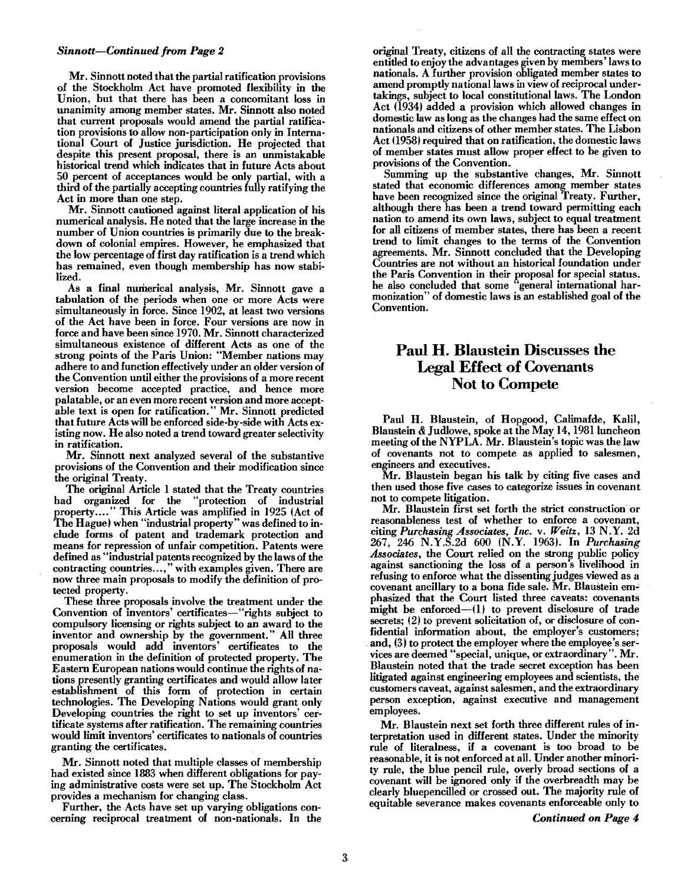Mr. Sinnott noted that the partial ratification provisions of the Stockholm Act have promoted flexibility in the Union, but that there has been a concomitant loss in unanimity among member states. Mr. Sinnott also noted that current proposals would amend the partial ratification provisions to allow non-participation only in International Court of Justice jurisdiction. He projected that despite this present proposal, there is an unmistakable historical trend which indicates that in future Acts about 50 percent of acceptances would be only partial, with a third of the partially accepting countries fully ratifying the Act in more than one step.

Mr. Sinnott cautioned against literal application of his numerical analysis. He noted that the large increase in the number of Union countries is primarily due to the breakdown of colonial empires. However, he emphasized that the low percentage of first day ratification is a trend which has remained, even though membership has now stabilized.

As a final numerical analysis, Mr. Sinnott gave a tabulation of the periods when one or more Acts were simultaneously in force. Since 1902, at least two versions of the Act have been in force. Four versions are now in force and have been since 1970. Mr. Sinnott characterized simultaneous existence of different Acts as one of the strong points of the Paris Union: "Member nations may adhere to and function effectively under an older version of the Convention until either the provisions of a more recent version become accepted practice, and hence more palatable, or an even more recent version and more acceptable text is open for ratification." Mr. Sinnott predicted that future Acts will be enforced side-by-side with Acts existing now. He also noted a trend toward greater selectivity in ratification.

Mr. Sinnott next analyzed several of the substantive provisions of the Convention and their modification since the original Treaty.

The original Article 1 stated that the Treaty countries had organized for the "protection of industrial property.... " This Article was amplified in 1925 (Act of The Hague) when "industrial property" was defined to in clude forms of patent and trademark protection and means for repression of unfair competition. Patents were defined as "industrial patents recognized by the laws of the contracting countries ...," with examples given. There are now three main proposals to modify the definition of protected property.

These three proposals involve the treatment under the Convention of inventors' certificates-"rights subject to compulsory licensing or rights subject to an award to the inventor and ownership by the government." All three proposals would add inventors' certificates to the enumeration in the definition of protected property. The Eastern European nations would continue the rights of nations presently granting certificates and would allow later establishment of this form of protection in certain technologies. The Developing Nations would grant only Developing countries the right to set up inventors' certificate systems after ratification. The remaining countries would limit inventors' certificates to nationals of countries granting the certificates.

Mr. Sinnott noted that multiple classes of membership had existed since 1883 when different obligations for paying administrative costs were set up. The Stockholm Act provides a mechanism for changing class.

Further, the Acts have set up varying obligations concerning reciprocal treatment of non-nationals. In the

**Sinnott-Continued from Page 2** original Treaty, citizens of all the contracting states were entitled to enjoy the advantages given by members' laws to nationals. A further provision obligated member states to amend promptly national laws in view of reciprocal undertakings, subject to local constitutional laws. The London Act (1934) added a provision which allowed changes in domestic law as long as the changes had the same effect on nationals and citizens of other member states. The Lisbon Act (1958) required that on ratification, the domestic laws of member states must allow proper effect to be given to provisions of the Convention.

> Summing up the substantive changes, Mr. Sinnott stated that economic differences among member states have been recognized since the original Treaty. Further, although there has been a trend toward permitting each nation to amend its own laws, subject to equal treatment for all citizens of member states, there has been a recent trend to limit changes to the terms of the Convention agreements. Mr. Sinnott concluded that the Developing Countries are not without an historical foundation under the Paris Convention in their proposal for special status. he also concluded that some 'general international harmonization" of domestic laws is an established goal of the Convention.

### Paul H. Blaustein Discusses the Legal Effect of Covenants Not to Compete

Paul H. Blaustein, of Hopgood, Calimafde, Kalil, Blaustein & Judlowe, spoke at the May 14, 1981 luncheon meeting of the NYPLA. Mr. Blaustein's topic was the law of covenants not to compete as applied to salesmen, engineers and executives.

Mr. Blaustein began his talk by citing five cases and then used those five cases to categorize issues in covenant not to compete litigation.

Mr. Blaustein first set forth the strict construction or reasonableness test of whether to enforce a covenant, citing *Purchasing Associates, Inc.* v. *Weitz,* 13 N.Y. 2d 267, 246 N.Y.S.2d 600 (N.Y. 1963). In *Purchasing Associates,* the Court relied on the strong public policy against sanctioning the loss of a person's livelihood in refusing to enforce what the dissenting judges viewed as a covenant ancillary to a bona fide sale. Mr. Blaustein emphasized that the Court listed three caveats: covenants might be enforced $-(1)$  to prevent disclosure of trade secrets; (2) to prevent solicitation of, or disclosure of con-<br>fidential information about, the employer's customers; and, (3) to protect the employer where the employee's services are deemed "special, unique, or extraordinary". Mr. Blaustein noted that the trade secret exception has been litigated against engineering employees and scientists, the customers caveat, against salesmen, and the extraordinary person exception, against executive and management employees.

Mr. Blaustein next set forth three different rules of interpretation used in different states. Under the minority rule of literalness, if a covenant is too broad to be reasonable, it is not enforced at all. Under another minority rule, the blue pencil rule, overly broad sections of a covenant will be ignored only if the overbreadth may be clearly bluepencilled or crossed out. The majority rule of equitable severance makes covenants enforceable only to

*Continued on Page 4.*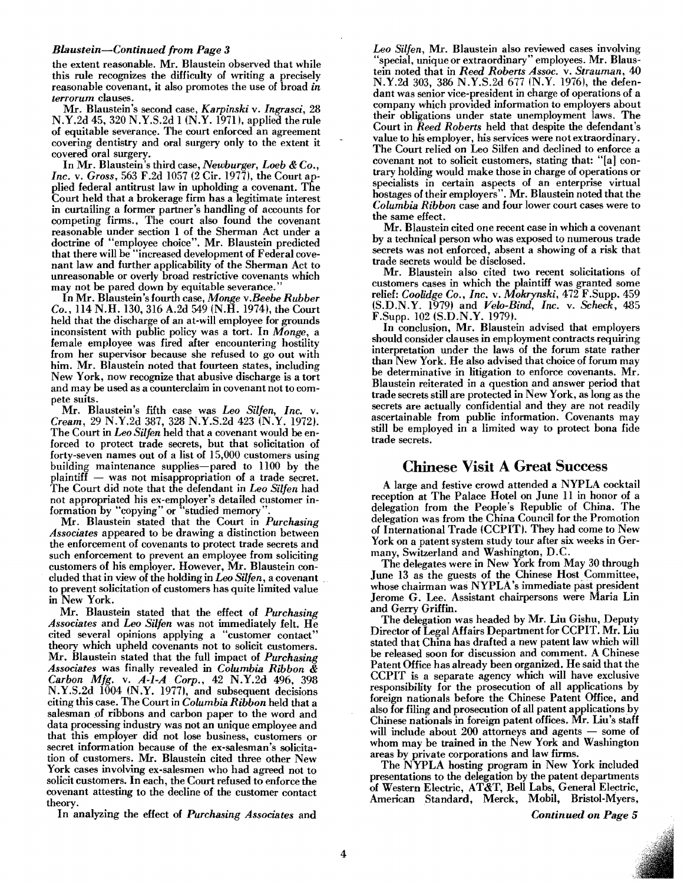#### *Blaustein-Continued from Page 3*

the extent reasonable. Mr. Blaustein observed that while this rule recognizes the difficulty of writing a precisely reasonable covenant, it also promotes the use of broad *in terrorum* clauses.

Mr. Blaustein's second case, *Karpinski* v. *Ingrasci, 28*  N.Y .2d 45, 320 N.Y .S.2d 1 (N.Y. 1971), applied the rule of equitable severance. The court enforced an agreement covering dentistry and oral surgery only to the extent it covered oral surgery.

In Mr. Blaustein's third case, *Newburger, Loeb* & *Co., Inc.* v. *Gross,* 563 F.2d 1057 (2 Cir. 1977), the Court applied federal antitrust law in upholding a covenant. The Court held that a brokerage firm has a legitimate interest in curtailing a former partner's handling of accounts for competing firms., The court also found the covenant reasonable under section 1 of the Sherman Act under a doctrine of "employee choice". Mr. Blaustein predicted that there will be "increased development of Federal covenant law and further applicability of the Sherman Act to unreasonable or overly broad restrictive covenants which may not be pared down by equitable severance.

In Mr. Blaustein's fourth case, *Monge v.Beebe Rubber Co.,* 114 N.H. 130,316 A.2d 549 (N.H. 1974), the Court held that the discharge of an at-will employee for grounds inconsistent with public policy was a tort. In *Monge,* a female employee was fired after encountering hostility from her supervisor because she refused to go out with him. Mr. Blaustein noted that fourteen states, including New York, now recognize that abusive discharge is a tort and may be used as a counterclaim in covenant not to compete suits.

Mr. Blaustein's fifth case was *Leo Silfen, Inc.* v. *Cream,* 29 N.Y.2d 387,328 N.Y.S.2d 423 (N.Y. 1972). The Court in *Leo Silfen* held that a covenant would be enforced to protect trade secrets, but that solicitation of forty-seven names out of a list of 15,000 customers using building maintenance supplies-pared to 1100 by the plaintiff - was not misappropriation of a trade secret. The Court did note that the defendant in *Leo Silfen* had not appropriated his ex-employer's detailed customer information by "copying" or "studied memory"

Mr. Blaustein stated that the Court in *Purchasing Associates* appeared to be drawing a distinction between the enforcement of covenants to protect trade secrets and such enforcement to prevent an employee from soliciting customers of his employer. However, Mr. Blaustein concluded thatin view of the holding in *Leo Silfen,* a covenant . to prevent solicitation of customers has quite limited value in New York.

Mr: Blaustein stated that the effect of *Purchasing Assoczates* and *Leo Silfen* was not immediately felt. He cited several opinions applying a "customer contact" theory which upheld covenants not to solicit customers. Mr. Blaustein stated that the full impact of *Purchasing Associates* was finally revealed in *Columbia Ribbon* & *Carbon Mfg.* v. *A-I-A Corp.,* 42 N.Y.2d 496, 398 N.Y.S.2d 1004 (N.Y. 1977), and subsequent decisions citing this case. The Court in *Columbia Ribbon* held that a salesman of ribbons and carbon paper to the word and data processing industry was not an unique employee and that this employer did not lose business, customers or secret information because of the ex-salesman's solicitation of customers. Mr. Blaustein cited three other New York cases involving ex-salesmen who had agreed not to solicit customers. In each, the Court refused to enforce the covenant attesting to the decline of the customer contact theory.

In analyzing the effect of *Purchasing Associates* and

*Leo Silfen,* Mr. Blaustein also reviewed cases involving "special, unique or extraordinary" employees. Mr. Blaustein noted that in *Reed Roberts Assoc.* v. *Strauman, 40*  N.Y.2d 303, 386 N.Y.S.2d 677 (N.Y. 1976), the defendant was senior vice-president in charge of operations of a company which provided information to employers about their obligations under state unemployment laws. The Court in *Reed Roberts* held that despite the defendant's value to his employer, his services were not extraordinary. The Court relied on Leo Silfen and declined to enforce a covenant not to solicit customers, stating that: "[al contrary holding would make those in charge of operations or specialists in certain aspects of an enterprise virtual hostages of their employers". Mr. Blaustein noted that the *Columbia Ribbon* case and four lower court cases were to the same effect.

Mr. Blaustein cited one recent case in which a covenant by a technical person who was exposed to numerous trade secrets was not enforced, absent a showing of a risk that trade secrets would be disclosed.

Mr. Blaustein also cited two recent solicitations of customers cases in which the plaintiff was granted some relief: *Coolidge Co., Inc.* v. *Mokrynski,* 472 F.Supp. 459 (S.D.N.Y. 1979) and *Velo-Bind, Inc.* v. *Scheck,* 485 F.Supp. 102 (S.D.N.Y. 1979).

In conclusion, Mr. Blaustein advised that employers should consider clauses in employment contracts requiring interpretation under the laws of the forum state rather than New York. He also advised that choice of forum may be determinative in litigation to enforce covenants. Mr. Blaustein reiterated in a question and answer period that trade secrets still are protected in New York, as long as the secrets are actually confidential and they are not readily ascertainable from public information. Covenants may still be employed in a limited way to protect bona fide trade secrets.

#### Chinese **Visit A Great** Success

A large and festive crowd attended a NYPLA cocktail reception at The Palace Hotel on june 11 in honor of a delegation from the People's Republic of China. The delegation was from the China Council for the Promotion of International Trade (CCPIT). They had come to New York on a patent system study tour after six weeks in Germany, Switzerland and Washington, D.C.

The delegates were in New York from May 30 through june 13 as the guests of the Chinese Host Committee, whose chairman was NYPLA's immediate past president jerome G. Lee. Assistant chairpersons were Maria Lin and Gerry Griffin.

The delegation was headed by Mr. Liu Gishu, Deputy Director of Legal Mfairs Department for CCPIT. Mr. Liu stated that China has drafted a new patent law which will be released soon for discussion and comment. A Chinese Patent Office has already been organized. He said that the CCPIT is a separate agency which will have exclusive responsibility for the prosecution of all applications by foreign nationals before the Chinese Patent Office, and also for filing and prosecution of all patent applications by Chinese nationals in foreign patent offices. Mr. Liu's staff will include about  $200$  attorneys and agents  $-$  some of whom may be trained in the New York and Washington areas by private corporations and law firms.

The NYPLA hosting program in New York included presentations to the delegation by the patent departments of Western Electric, AT&T, Bell Labs, General Electric, American Standard, Merck, Mobil, Bristol-Myers,

*Continued on Page 5*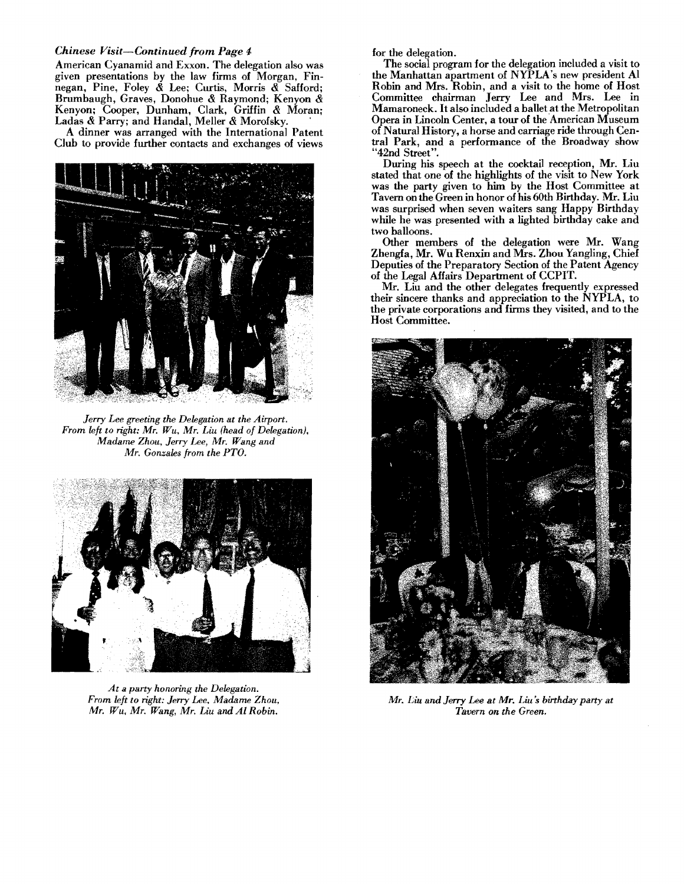#### *Chinese Visit-Continued from Page 4*

American Cyanamid and Exxon. The delegation also was given presentations by the law firms of Morgan, Finnegan, Pine, Foley & Lee; Curtis, Morris & Safford; Brumbaugh, Graves, Donohue & Raymond; Kenyon & Kenyon; Cooper, Dunham, Clark, Griffin & Moran; Ladas & Parry; and Handal, Meller & Morofsky. .

A dinner was arranged with the International Patent Club to provide further contacts and exchanges of views



Jerry *Lee greeting the Delegation at the Airport.* From left to right: Mr. Wu, Mr. Liu (head of Delegation), Madame Zhou, Jerry Lee, Mr. Wang and *Mr. Gonzales from the PTO.* 



*At a party honoring the Delegation.* From left to right: Jerry Lee, Madame Zhou, *Mr. Wit, Mr. Wang,* Mr. *Liu and Ai Robin.* 

for the delegation.

The social program for the delegation included a visit to the Manhattan apartment of NYPLA's new president Al Robin and Mrs. Robin, and a visit to the home of Host Committee chairman Jerry Lee and Mrs. Lee in Mamaroneck. It also included a ballet at the Metropolitan Opera in Lincoln Center, a tour of the American Museum of Natural History, a horse and carriage ride through Central Park, and a performance of the Broadway show "42nd Street".

During his speech at the cocktail reception, Mr. Liu stated that one of the highlights of the visit to New York was the party given to him by the Host Committee at Tavern on the Green in honor of his 60th Birthday. Mr. Liu was surprised when seven waiters sang Happy Birthday while he was presented with a lighted birthday cake and two balloons.

Other members of the delegation were Mr. Wang Zhengfa, Mr. Wu Renxin and Mrs. Zhou Yangling, Chief Deputies of the Preparatory Section of the Patent Agency of the Legal Affairs Department of CCPIT.

Mr. Liu and the other delegates frequently expressed their sincere thanks and appreciation to the NYPLA, to the private corporations and firms they visited, and to the Host Committee.



Mr. Liu and Jerry Lee at Mr. Liu's birthday party at *Tavern on the Green.*